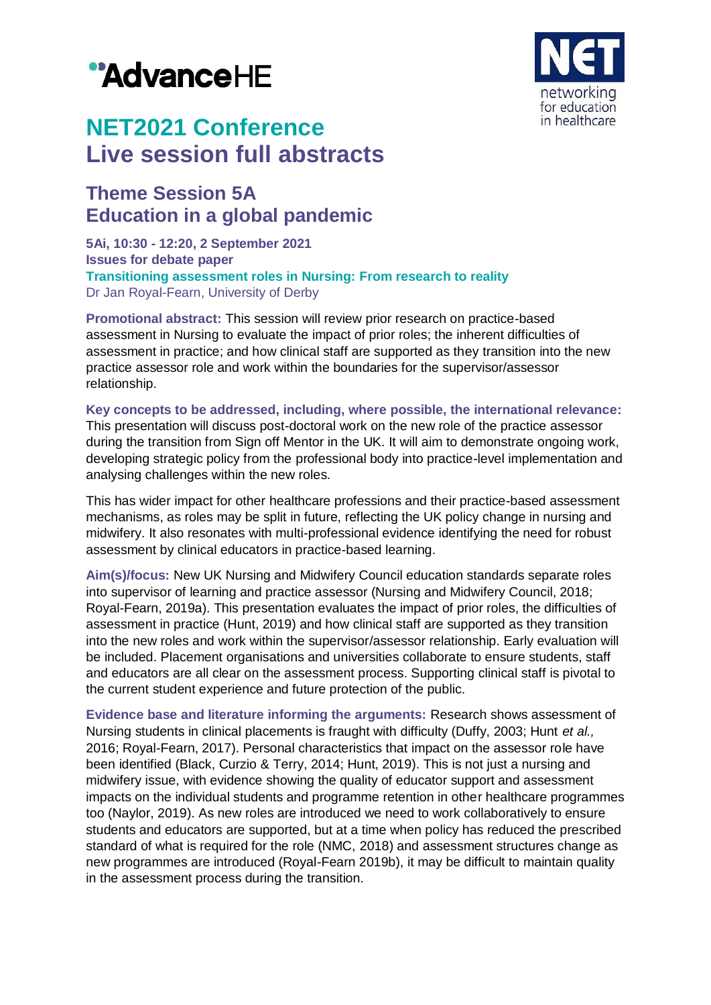# "AdvanceHE



## **NET2021 Conference Live session full abstracts**

### **Theme Session 5A Education in a global pandemic**

**5Ai, 10:30 - 12:20, 2 September 2021 Issues for debate paper Transitioning assessment roles in Nursing: From research to reality** Dr Jan Royal-Fearn, University of Derby

**Promotional abstract:** This session will review prior research on practice-based assessment in Nursing to evaluate the impact of prior roles; the inherent difficulties of assessment in practice; and how clinical staff are supported as they transition into the new practice assessor role and work within the boundaries for the supervisor/assessor relationship.

**Key concepts to be addressed, including, where possible, the international relevance:**

This presentation will discuss post-doctoral work on the new role of the practice assessor during the transition from Sign off Mentor in the UK. It will aim to demonstrate ongoing work, developing strategic policy from the professional body into practice-level implementation and analysing challenges within the new roles.

This has wider impact for other healthcare professions and their practice-based assessment mechanisms, as roles may be split in future, reflecting the UK policy change in nursing and midwifery. It also resonates with multi-professional evidence identifying the need for robust assessment by clinical educators in practice-based learning.

**Aim(s)/focus:** New UK Nursing and Midwifery Council education standards separate roles into supervisor of learning and practice assessor (Nursing and Midwifery Council, 2018; Royal-Fearn, 2019a). This presentation evaluates the impact of prior roles, the difficulties of assessment in practice (Hunt, 2019) and how clinical staff are supported as they transition into the new roles and work within the supervisor/assessor relationship. Early evaluation will be included. Placement organisations and universities collaborate to ensure students, staff and educators are all clear on the assessment process. Supporting clinical staff is pivotal to the current student experience and future protection of the public.

**Evidence base and literature informing the arguments:** Research shows assessment of Nursing students in clinical placements is fraught with difficulty (Duffy, 2003; Hunt *et al.,* 2016; Royal-Fearn, 2017). Personal characteristics that impact on the assessor role have been identified (Black, Curzio & Terry, 2014; Hunt, 2019). This is not just a nursing and midwifery issue, with evidence showing the quality of educator support and assessment impacts on the individual students and programme retention in other healthcare programmes too (Naylor, 2019). As new roles are introduced we need to work collaboratively to ensure students and educators are supported, but at a time when policy has reduced the prescribed standard of what is required for the role (NMC, 2018) and assessment structures change as new programmes are introduced (Royal-Fearn 2019b), it may be difficult to maintain quality in the assessment process during the transition.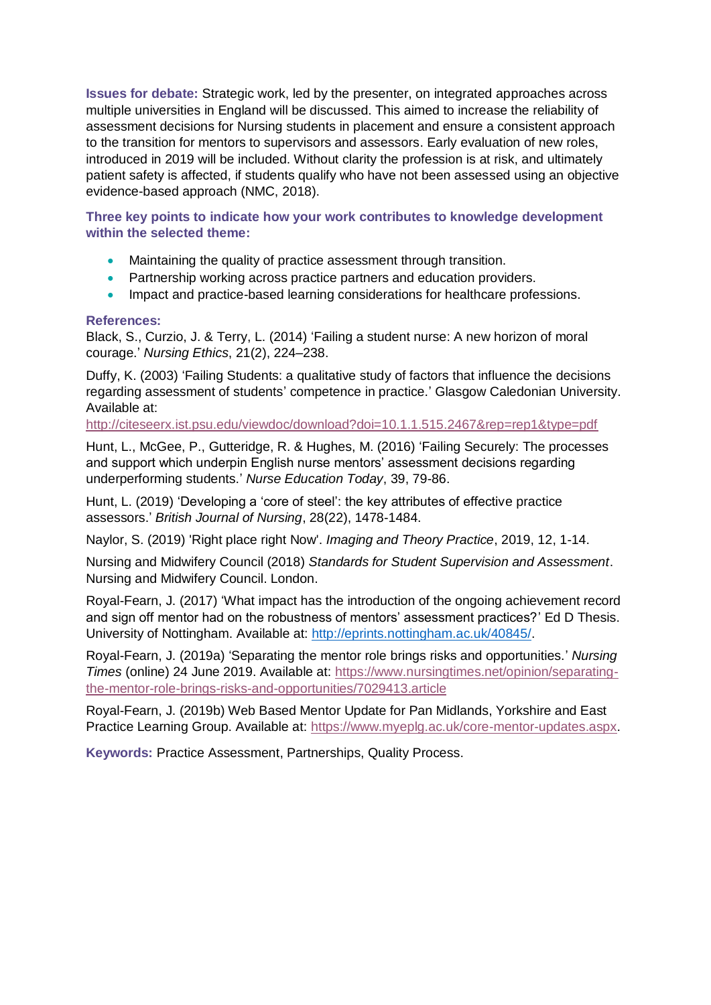**Issues for debate:** Strategic work, led by the presenter, on integrated approaches across multiple universities in England will be discussed. This aimed to increase the reliability of assessment decisions for Nursing students in placement and ensure a consistent approach to the transition for mentors to supervisors and assessors. Early evaluation of new roles, introduced in 2019 will be included. Without clarity the profession is at risk, and ultimately patient safety is affected, if students qualify who have not been assessed using an objective evidence-based approach (NMC, 2018).

**Three key points to indicate how your work contributes to knowledge development within the selected theme:**

- Maintaining the quality of practice assessment through transition.
- Partnership working across practice partners and education providers.
- Impact and practice-based learning considerations for healthcare professions.

#### **References:**

Black, S., Curzio, J. & Terry, L. (2014) 'Failing a student nurse: A new horizon of moral courage.' *Nursing Ethics*, 21(2), 224–238.

Duffy, K. (2003) 'Failing Students: a qualitative study of factors that influence the decisions regarding assessment of students' competence in practice.' Glasgow Caledonian University. Available at:

<http://citeseerx.ist.psu.edu/viewdoc/download?doi=10.1.1.515.2467&rep=rep1&type=pdf>

Hunt, L., McGee, P., Gutteridge, R. & Hughes, M. (2016) 'Failing Securely: The processes and support which underpin English nurse mentors' assessment decisions regarding underperforming students.' *Nurse Education Today*, 39, 79-86.

Hunt, L. (2019) 'Developing a 'core of steel': the key attributes of effective practice assessors.' *British Journal of Nursing*, 28(22), 1478-1484.

Naylor, S. (2019) 'Right place right Now'. *Imaging and Theory Practice*, 2019, 12, 1-14.

Nursing and Midwifery Council (2018) *Standards for Student Supervision and Assessment*. Nursing and Midwifery Council. London.

Royal-Fearn, J. (2017) 'What impact has the introduction of the ongoing achievement record and sign off mentor had on the robustness of mentors' assessment practices?' Ed D Thesis. University of Nottingham. Available at: [http://eprints.nottingham.ac.uk/40845/.](http://eprints.nottingham.ac.uk/40845/)

Royal-Fearn, J. (2019a) 'Separating the mentor role brings risks and opportunities.' *Nursing Times* (online) 24 June 2019. Available at: [https://www.nursingtimes.net/opinion/separating](https://www.nursingtimes.net/opinion/separating-the-mentor-role-brings-risks-and-opportunities/7029413.article)[the-mentor-role-brings-risks-and-opportunities/7029413.article](https://www.nursingtimes.net/opinion/separating-the-mentor-role-brings-risks-and-opportunities/7029413.article)

Royal-Fearn, J. (2019b) Web Based Mentor Update for Pan Midlands, Yorkshire and East Practice Learning Group. Available at: [https://www.myeplg.ac.uk/core-mentor-updates.aspx.](https://www.myeplg.ac.uk/core-mentor-updates.aspx)

**Keywords:** Practice Assessment, Partnerships, Quality Process.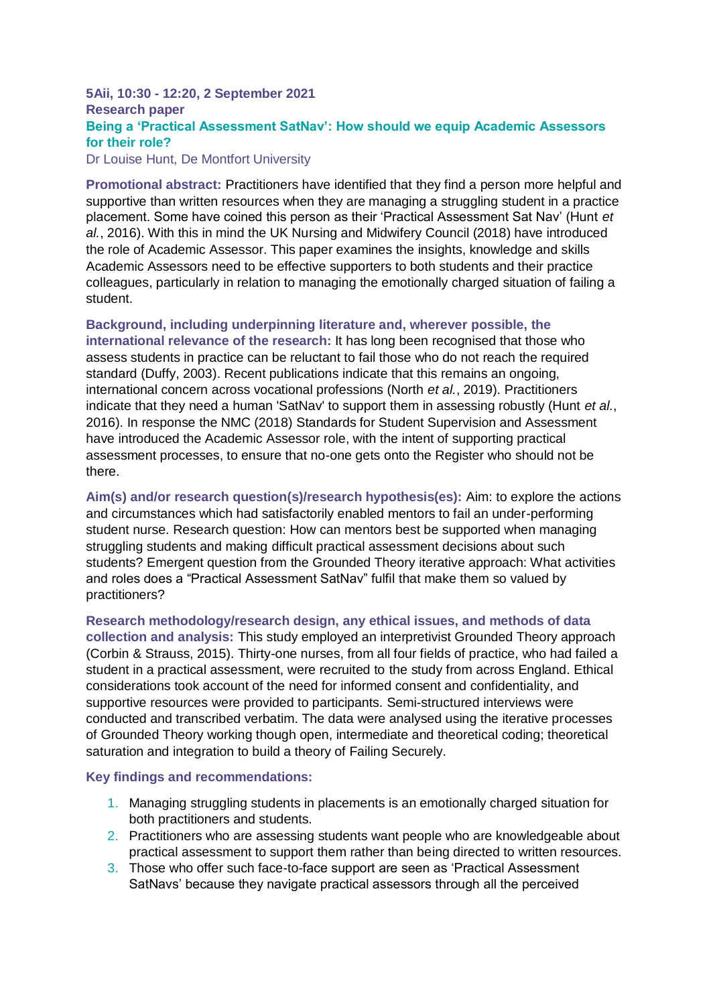#### **5Aii, 10:30 - 12:20, 2 September 2021 Research paper Being a 'Practical Assessment SatNav': How should we equip Academic Assessors for their role?**

Dr Louise Hunt, De Montfort University

**Promotional abstract:** Practitioners have identified that they find a person more helpful and supportive than written resources when they are managing a struggling student in a practice placement. Some have coined this person as their 'Practical Assessment Sat Nav' (Hunt *et al.*, 2016). With this in mind the UK Nursing and Midwifery Council (2018) have introduced the role of Academic Assessor. This paper examines the insights, knowledge and skills Academic Assessors need to be effective supporters to both students and their practice colleagues, particularly in relation to managing the emotionally charged situation of failing a student.

**Background, including underpinning literature and, wherever possible, the international relevance of the research:** It has long been recognised that those who assess students in practice can be reluctant to fail those who do not reach the required standard (Duffy, 2003). Recent publications indicate that this remains an ongoing, international concern across vocational professions (North *et al.*, 2019). Practitioners indicate that they need a human 'SatNav' to support them in assessing robustly (Hunt *et al.*, 2016). In response the NMC (2018) Standards for Student Supervision and Assessment have introduced the Academic Assessor role, with the intent of supporting practical assessment processes, to ensure that no-one gets onto the Register who should not be there.

**Aim(s) and/or research question(s)/research hypothesis(es):** Aim: to explore the actions and circumstances which had satisfactorily enabled mentors to fail an under-performing student nurse. Research question: How can mentors best be supported when managing struggling students and making difficult practical assessment decisions about such students? Emergent question from the Grounded Theory iterative approach: What activities and roles does a "Practical Assessment SatNav" fulfil that make them so valued by practitioners?

**Research methodology/research design, any ethical issues, and methods of data collection and analysis:** This study employed an interpretivist Grounded Theory approach (Corbin & Strauss, 2015). Thirty-one nurses, from all four fields of practice, who had failed a student in a practical assessment, were recruited to the study from across England. Ethical considerations took account of the need for informed consent and confidentiality, and supportive resources were provided to participants. Semi-structured interviews were conducted and transcribed verbatim. The data were analysed using the iterative processes of Grounded Theory working though open, intermediate and theoretical coding; theoretical saturation and integration to build a theory of Failing Securely.

**Key findings and recommendations:**

- 1. Managing struggling students in placements is an emotionally charged situation for both practitioners and students.
- 2. Practitioners who are assessing students want people who are knowledgeable about practical assessment to support them rather than being directed to written resources.
- 3. Those who offer such face-to-face support are seen as 'Practical Assessment SatNavs' because they navigate practical assessors through all the perceived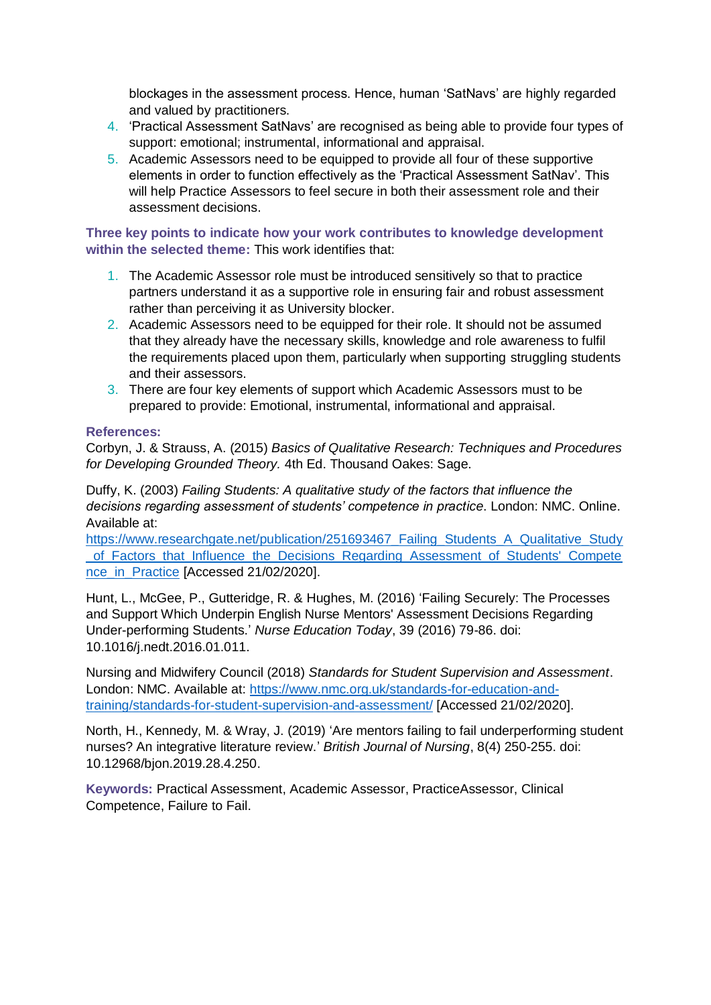blockages in the assessment process. Hence, human 'SatNavs' are highly regarded and valued by practitioners.

- 4. 'Practical Assessment SatNavs' are recognised as being able to provide four types of support: emotional; instrumental, informational and appraisal.
- 5. Academic Assessors need to be equipped to provide all four of these supportive elements in order to function effectively as the 'Practical Assessment SatNav'. This will help Practice Assessors to feel secure in both their assessment role and their assessment decisions.

**Three key points to indicate how your work contributes to knowledge development within the selected theme:** This work identifies that:

- 1. The Academic Assessor role must be introduced sensitively so that to practice partners understand it as a supportive role in ensuring fair and robust assessment rather than perceiving it as University blocker.
- 2. Academic Assessors need to be equipped for their role. It should not be assumed that they already have the necessary skills, knowledge and role awareness to fulfil the requirements placed upon them, particularly when supporting struggling students and their assessors.
- 3. There are four key elements of support which Academic Assessors must to be prepared to provide: Emotional, instrumental, informational and appraisal.

#### **References:**

Corbyn, J. & Strauss, A. (2015) *Basics of Qualitative Research: Techniques and Procedures for Developing Grounded Theory.* 4th Ed. Thousand Oakes: Sage.

Duffy, K. (2003) *Failing Students: A qualitative study of the factors that influence the decisions regarding assessment of students' competence in practice*. London: NMC. Online. Available at:

https://www.researchgate.net/publication/251693467 Failing Students A Qualitative Study [\\_of\\_Factors\\_that\\_Influence\\_the\\_Decisions\\_Regarding\\_Assessment\\_of\\_Students'\\_Compete](https://www.researchgate.net/publication/251693467_Failing_Students_A_Qualitative_Study_of_Factors_that_Influence_the_Decisions_Regarding_Assessment_of_Students) nce in Practice [Accessed 21/02/2020].

Hunt, L., McGee, P., Gutteridge, R. & Hughes, M. (2016) 'Failing Securely: The Processes and Support Which Underpin English Nurse Mentors' Assessment Decisions Regarding Under-performing Students.' *Nurse Education Today*, 39 (2016) 79-86. doi: 10.1016/j.nedt.2016.01.011.

Nursing and Midwifery Council (2018) *Standards for Student Supervision and Assessment*. London: NMC. Available at: [https://www.nmc.org.uk/standards-for-education-and](https://www.nmc.org.uk/standards-for-education-and-training/standards-for-student-supervision-and-assessment/)[training/standards-for-student-supervision-and-assessment/](https://www.nmc.org.uk/standards-for-education-and-training/standards-for-student-supervision-and-assessment/) [Accessed 21/02/2020].

North, H., Kennedy, M. & Wray, J. (2019) 'Are mentors failing to fail underperforming student nurses? An integrative literature review.' *British Journal of Nursing*, 8(4) 250-255. doi: 10.12968/bjon.2019.28.4.250.

**Keywords:** Practical Assessment, Academic Assessor, PracticeAssessor, Clinical Competence, Failure to Fail.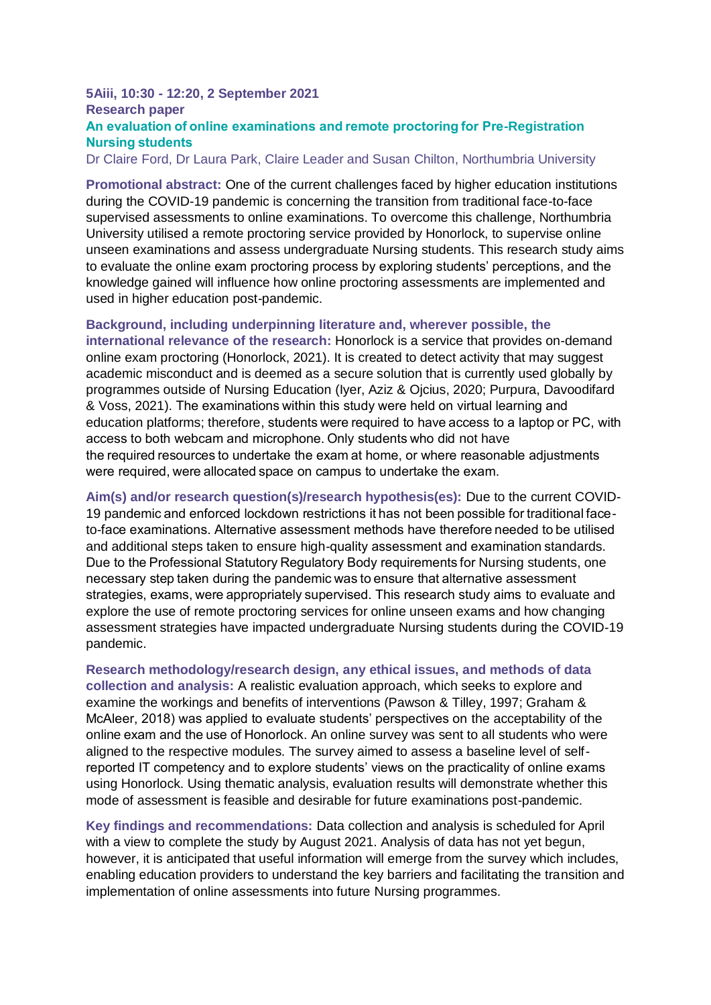#### **5Aiii, 10:30 - 12:20, 2 September 2021 Research paper An evaluation of online examinations and remote proctoring for Pre-Registration Nursing students**

Dr Claire Ford, Dr Laura Park, Claire Leader and Susan Chilton, Northumbria University

**Promotional abstract:** One of the current challenges faced by higher education institutions during the COVID-19 pandemic is concerning the transition from traditional face-to-face supervised assessments to online examinations. To overcome this challenge, Northumbria University utilised a remote proctoring service provided by Honorlock, to supervise online unseen examinations and assess undergraduate Nursing students. This research study aims to evaluate the online exam proctoring process by exploring students' perceptions, and the knowledge gained will influence how online proctoring assessments are implemented and used in higher education post-pandemic.

**Background, including underpinning literature and, wherever possible, the** 

**international relevance of the research:** Honorlock is a service that provides on-demand online exam proctoring (Honorlock, 2021). It is created to detect activity that may suggest academic misconduct and is deemed as a secure solution that is currently used globally by programmes outside of Nursing Education (Iyer, Aziz & Ojcius, 2020; Purpura, Davoodifard & Voss, 2021). The examinations within this study were held on virtual learning and education platforms; therefore, students were required to have access to a laptop or PC, with access to both webcam and microphone. Only students who did not have the required resources to undertake the exam at home, or where reasonable adjustments were required, were allocated space on campus to undertake the exam.

**Aim(s) and/or research question(s)/research hypothesis(es):** Due to the current COVID-19 pandemic and enforced lockdown restrictions it has not been possible for traditional faceto-face examinations. Alternative assessment methods have therefore needed to be utilised and additional steps taken to ensure high-quality assessment and examination standards. Due to the Professional Statutory Regulatory Body requirements for Nursing students, one necessary step taken during the pandemic was to ensure that alternative assessment strategies, exams, were appropriately supervised. This research study aims to evaluate and explore the use of remote proctoring services for online unseen exams and how changing assessment strategies have impacted undergraduate Nursing students during the COVID-19 pandemic.

**Research methodology/research design, any ethical issues, and methods of data collection and analysis:** A realistic evaluation approach, which seeks to explore and examine the workings and benefits of interventions (Pawson & Tilley, 1997; Graham & McAleer, 2018) was applied to evaluate students' perspectives on the acceptability of the online exam and the use of Honorlock. An online survey was sent to all students who were aligned to the respective modules. The survey aimed to assess a baseline level of selfreported IT competency and to explore students' views on the practicality of online exams using Honorlock. Using thematic analysis, evaluation results will demonstrate whether this mode of assessment is feasible and desirable for future examinations post-pandemic.

**Key findings and recommendations:** Data collection and analysis is scheduled for April with a view to complete the study by August 2021. Analysis of data has not yet begun, however, it is anticipated that useful information will emerge from the survey which includes, enabling education providers to understand the key barriers and facilitating the transition and implementation of online assessments into future Nursing programmes.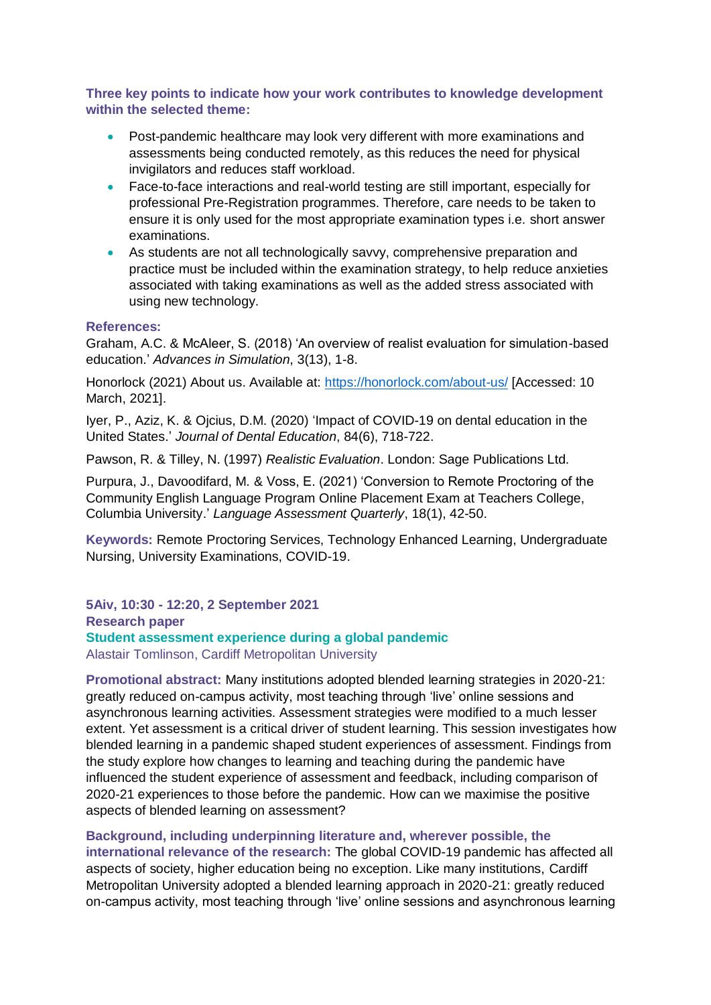**Three key points to indicate how your work contributes to knowledge development within the selected theme:**

- Post-pandemic healthcare may look very different with more examinations and assessments being conducted remotely, as this reduces the need for physical invigilators and reduces staff workload.
- Face-to-face interactions and real-world testing are still important, especially for professional Pre-Registration programmes. Therefore, care needs to be taken to ensure it is only used for the most appropriate examination types i.e. short answer examinations.
- As students are not all technologically savvy, comprehensive preparation and practice must be included within the examination strategy, to help reduce anxieties associated with taking examinations as well as the added stress associated with using new technology.

#### **References:**

Graham, A.C. & McAleer, S. (2018) 'An overview of realist evaluation for simulation-based education.' *Advances in Simulation*, 3(13), 1-8.

Honorlock (2021) About us. Available at:<https://honorlock.com/about-us/> [Accessed: 10 March, 2021].

Iyer, P., Aziz, K. & Ojcius, D.M. (2020) 'Impact of COVID-19 on dental education in the United States.' *Journal of Dental Education*, 84(6), 718-722.

Pawson, R. & Tilley, N. (1997) *Realistic Evaluation*. London: Sage Publications Ltd.

Purpura, J., Davoodifard, M. & Voss, E. (2021) 'Conversion to Remote Proctoring of the Community English Language Program Online Placement Exam at Teachers College, Columbia University.' *Language Assessment Quarterly*, 18(1), 42-50.

**Keywords:** Remote Proctoring Services, Technology Enhanced Learning, Undergraduate Nursing, University Examinations, COVID-19.

**5Aiv, 10:30 - 12:20, 2 September 2021 Research paper Student assessment experience during a global pandemic** Alastair Tomlinson, Cardiff Metropolitan University

**Promotional abstract:** Many institutions adopted blended learning strategies in 2020-21: greatly reduced on-campus activity, most teaching through 'live' online sessions and asynchronous learning activities. Assessment strategies were modified to a much lesser extent. Yet assessment is a critical driver of student learning. This session investigates how blended learning in a pandemic shaped student experiences of assessment. Findings from the study explore how changes to learning and teaching during the pandemic have influenced the student experience of assessment and feedback, including comparison of 2020-21 experiences to those before the pandemic. How can we maximise the positive aspects of blended learning on assessment?

**Background, including underpinning literature and, wherever possible, the international relevance of the research:** The global COVID-19 pandemic has affected all aspects of society, higher education being no exception. Like many institutions, Cardiff Metropolitan University adopted a blended learning approach in 2020-21: greatly reduced on-campus activity, most teaching through 'live' online sessions and asynchronous learning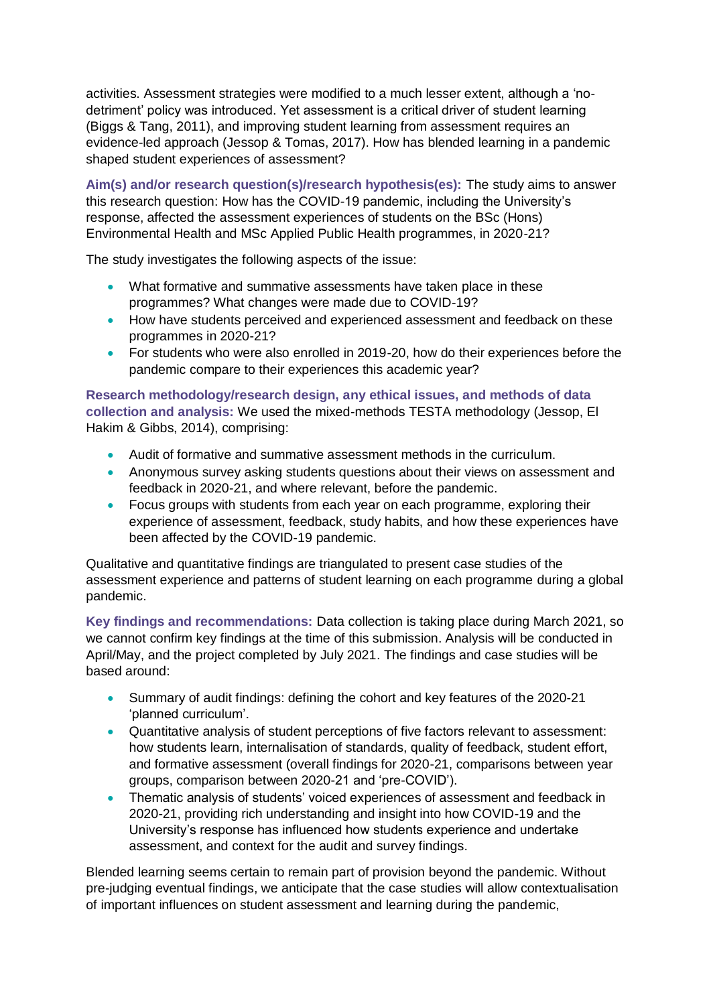activities. Assessment strategies were modified to a much lesser extent, although a 'nodetriment' policy was introduced. Yet assessment is a critical driver of student learning (Biggs & Tang, 2011), and improving student learning from assessment requires an evidence-led approach (Jessop & Tomas, 2017). How has blended learning in a pandemic shaped student experiences of assessment?

**Aim(s) and/or research question(s)/research hypothesis(es):** The study aims to answer this research question: How has the COVID-19 pandemic, including the University's response, affected the assessment experiences of students on the BSc (Hons) Environmental Health and MSc Applied Public Health programmes, in 2020-21?

The study investigates the following aspects of the issue:

- What formative and summative assessments have taken place in these programmes? What changes were made due to COVID-19?
- How have students perceived and experienced assessment and feedback on these programmes in 2020-21?
- For students who were also enrolled in 2019-20, how do their experiences before the pandemic compare to their experiences this academic year?

#### **Research methodology/research design, any ethical issues, and methods of data collection and analysis:** We used the mixed-methods TESTA methodology (Jessop, El Hakim & Gibbs, 2014), comprising:

- Audit of formative and summative assessment methods in the curriculum.
- Anonymous survey asking students questions about their views on assessment and feedback in 2020-21, and where relevant, before the pandemic.
- Focus groups with students from each year on each programme, exploring their experience of assessment, feedback, study habits, and how these experiences have been affected by the COVID-19 pandemic.

Qualitative and quantitative findings are triangulated to present case studies of the assessment experience and patterns of student learning on each programme during a global pandemic.

**Key findings and recommendations:** Data collection is taking place during March 2021, so we cannot confirm key findings at the time of this submission. Analysis will be conducted in April/May, and the project completed by July 2021. The findings and case studies will be based around:

- Summary of audit findings: defining the cohort and key features of the 2020-21 'planned curriculum'.
- Quantitative analysis of student perceptions of five factors relevant to assessment: how students learn, internalisation of standards, quality of feedback, student effort, and formative assessment (overall findings for 2020-21, comparisons between year groups, comparison between 2020-21 and 'pre-COVID').
- Thematic analysis of students' voiced experiences of assessment and feedback in 2020-21, providing rich understanding and insight into how COVID-19 and the University's response has influenced how students experience and undertake assessment, and context for the audit and survey findings.

Blended learning seems certain to remain part of provision beyond the pandemic. Without pre-judging eventual findings, we anticipate that the case studies will allow contextualisation of important influences on student assessment and learning during the pandemic,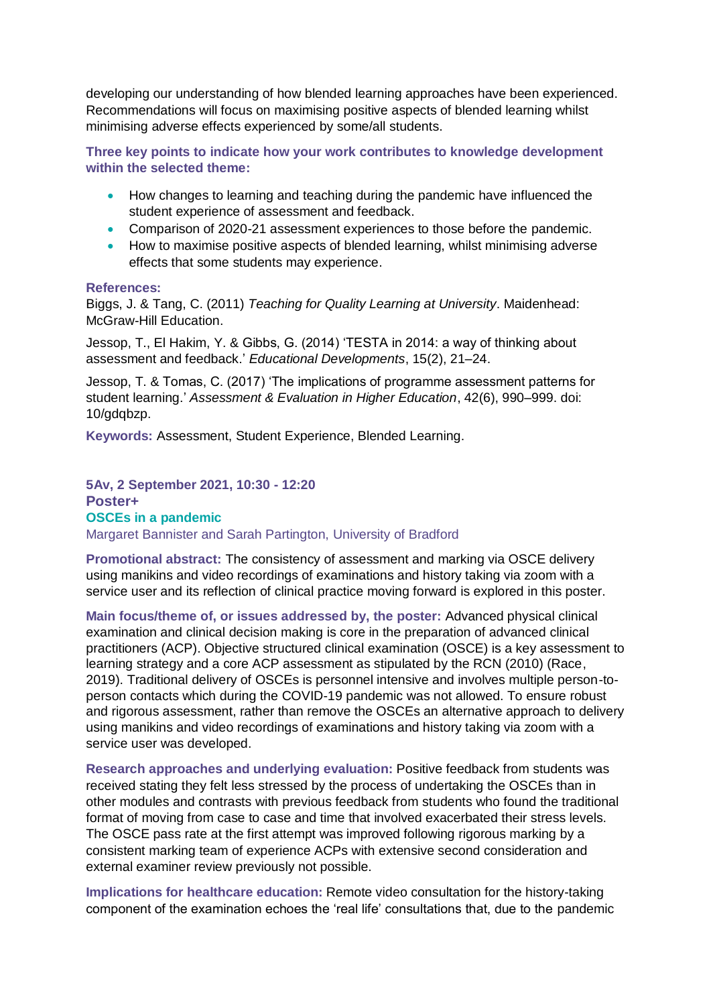developing our understanding of how blended learning approaches have been experienced. Recommendations will focus on maximising positive aspects of blended learning whilst minimising adverse effects experienced by some/all students.

**Three key points to indicate how your work contributes to knowledge development within the selected theme:**

- How changes to learning and teaching during the pandemic have influenced the student experience of assessment and feedback.
- Comparison of 2020-21 assessment experiences to those before the pandemic.
- How to maximise positive aspects of blended learning, whilst minimising adverse effects that some students may experience.

#### **References:**

Biggs, J. & Tang, C. (2011) *Teaching for Quality Learning at University*. Maidenhead: McGraw-Hill Education.

Jessop, T., El Hakim, Y. & Gibbs, G. (2014) 'TESTA in 2014: a way of thinking about assessment and feedback.' *Educational Developments*, 15(2), 21–24.

Jessop, T. & Tomas, C. (2017) 'The implications of programme assessment patterns for student learning.' *Assessment & Evaluation in Higher Education*, 42(6), 990–999. doi: 10/gdqbzp.

**Keywords:** Assessment, Student Experience, Blended Learning.

#### **5Av, 2 September 2021, 10:30 - 12:20 Poster+ OSCEs in a pandemic** Margaret Bannister and Sarah Partington, University of Bradford

**Promotional abstract:** The consistency of assessment and marking via OSCE delivery using manikins and video recordings of examinations and history taking via zoom with a service user and its reflection of clinical practice moving forward is explored in this poster.

**Main focus/theme of, or issues addressed by, the poster:** Advanced physical clinical examination and clinical decision making is core in the preparation of advanced clinical practitioners (ACP). Objective structured clinical examination (OSCE) is a key assessment to learning strategy and a core ACP assessment as stipulated by the RCN (2010) (Race, 2019). Traditional delivery of OSCEs is personnel intensive and involves multiple person-toperson contacts which during the COVID-19 pandemic was not allowed. To ensure robust and rigorous assessment, rather than remove the OSCEs an alternative approach to delivery using manikins and video recordings of examinations and history taking via zoom with a service user was developed.

**Research approaches and underlying evaluation:** Positive feedback from students was received stating they felt less stressed by the process of undertaking the OSCEs than in other modules and contrasts with previous feedback from students who found the traditional format of moving from case to case and time that involved exacerbated their stress levels. The OSCE pass rate at the first attempt was improved following rigorous marking by a consistent marking team of experience ACPs with extensive second consideration and external examiner review previously not possible.

**Implications for healthcare education:** Remote video consultation for the history-taking component of the examination echoes the 'real life' consultations that, due to the pandemic